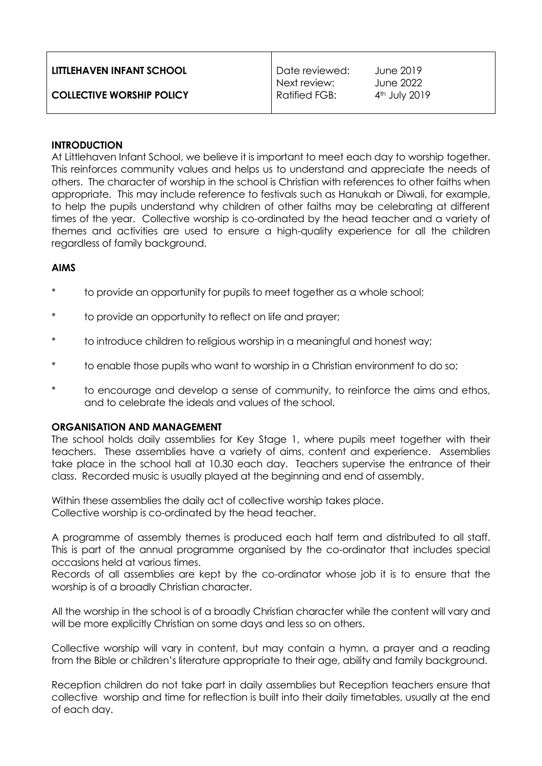| LITTLEHAVEN INFANT SCHOOL        | Date reviewed:                | June 2019                    |
|----------------------------------|-------------------------------|------------------------------|
| <b>COLLECTIVE WORSHIP POLICY</b> | Next review:<br>Ratified FGB: | June 2022<br>$4th$ July 2019 |

### **INTRODUCTION**

At Littlehaven Infant School, we believe it is important to meet each day to worship together. This reinforces community values and helps us to understand and appreciate the needs of others. The character of worship in the school is Christian with references to other faiths when appropriate. This may include reference to festivals such as Hanukah or Diwali, for example, to help the pupils understand why children of other faiths may be celebrating at different times of the year. Collective worship is co-ordinated by the head teacher and a variety of themes and activities are used to ensure a high-quality experience for all the children regardless of family background.

# **AIMS**

- to provide an opportunity for pupils to meet together as a whole school;
- to provide an opportunity to reflect on life and prayer;
- to introduce children to religious worship in a meaningful and honest way;
- to enable those pupils who want to worship in a Christian environment to do so;
- to encourage and develop a sense of community, to reinforce the aims and ethos, and to celebrate the ideals and values of the school.

# **ORGANISATION AND MANAGEMENT**

The school holds daily assemblies for Key Stage 1, where pupils meet together with their teachers. These assemblies have a variety of aims, content and experience. Assemblies take place in the school hall at 10.30 each day. Teachers supervise the entrance of their class. Recorded music is usually played at the beginning and end of assembly.

Within these assemblies the daily act of collective worship takes place. Collective worship is co-ordinated by the head teacher.

A programme of assembly themes is produced each half term and distributed to all staff. This is part of the annual programme organised by the co-ordinator that includes special occasions held at various times.

Records of all assemblies are kept by the co-ordinator whose job it is to ensure that the worship is of a broadly Christian character.

All the worship in the school is of a broadly Christian character while the content will vary and will be more explicitly Christian on some days and less so on others.

Collective worship will vary in content, but may contain a hymn, a prayer and a reading from the Bible or children's literature appropriate to their age, ability and family background.

Reception children do not take part in daily assemblies but Reception teachers ensure that collective worship and time for reflection is built into their daily timetables, usually at the end of each day.